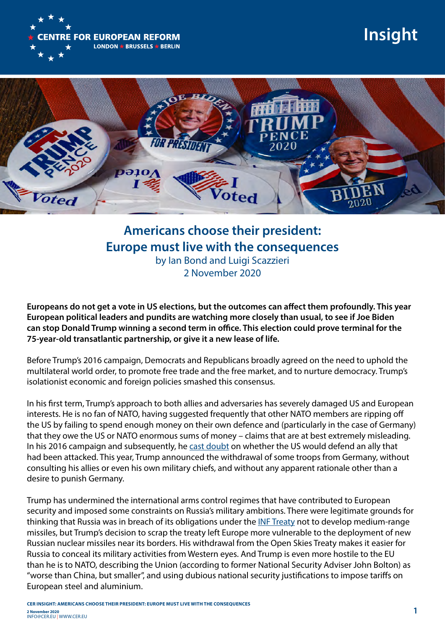

## **Insight**



## **Americans choose their president: Europe must live with the consequences**  by Ian Bond and Luigi Scazzieri 2 November 2020

**Europeans do not get a vote in US elections, but the outcomes can affect them profoundly. This year European political leaders and pundits are watching more closely than usual, to see if Joe Biden can stop Donald Trump winning a second term in office. This election could prove terminal for the 75-year-old transatlantic partnership, or give it a new lease of life.** 

Before Trump's 2016 campaign, Democrats and Republicans broadly agreed on the need to uphold the multilateral world order, to promote free trade and the free market, and to nurture democracy. Trump's isolationist economic and foreign policies smashed this consensus.

In his first term, Trump's approach to both allies and adversaries has severely damaged US and European interests. He is no fan of NATO, having suggested frequently that other NATO members are ripping off the US by failing to spend enough money on their own defence and (particularly in the case of Germany) that they owe the US or NATO enormous sums of money – claims that are at best extremely misleading. In his 2016 campaign and subsequently, he [cast doubt](https://www.nbcnews.com/news/world/trump-calls-out-very-aggressive-montenegro-latest-nato-jibe-n892311) on whether the US would defend an ally that had been attacked. This year, Trump announced the withdrawal of some troops from Germany, without consulting his allies or even his own military chiefs, and without any apparent rationale other than a desire to punish Germany.

Trump has undermined the international arms control regimes that have contributed to European security and imposed some constraints on Russia's military ambitions. There were legitimate grounds for thinking that Russia was in breach of its obligations under the [INF Treaty](https://www.cer.eu/insights/trump-right-nuke-inf-treaty) not to develop medium-range missiles, but Trump's decision to scrap the treaty left Europe more vulnerable to the deployment of new Russian nuclear missiles near its borders. His withdrawal from the Open Skies Treaty makes it easier for Russia to conceal its military activities from Western eyes. And Trump is even more hostile to the EU than he is to NATO, describing the Union (according to former National Security Adviser John Bolton) as "worse than China, but smaller", and using dubious national security justifications to impose tariffs on European steel and aluminium.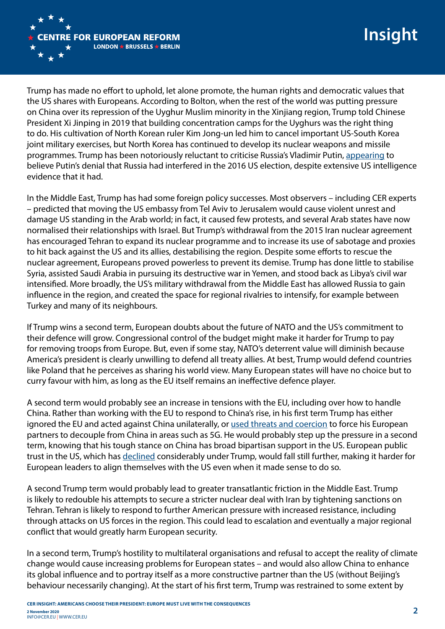

Trump has made no effort to uphold, let alone promote, the human rights and democratic values that the US shares with Europeans. According to Bolton, when the rest of the world was putting pressure on China over its repression of the Uyghur Muslim minority in the Xinjiang region, Trump told Chinese President Xi Jinping in 2019 that building concentration camps for the Uyghurs was the right thing to do. His cultivation of North Korean ruler Kim Jong-un led him to cancel important US-South Korea joint military exercises, but North Korea has continued to develop its nuclear weapons and missile programmes. Trump has been notoriously reluctant to criticise Russia's Vladimir Putin, [appearing](https://www.vox.com/2018/7/16/17576956/transcript-putin-trump-russia-helsinki-press-conference) to believe Putin's denial that Russia had interfered in the 2016 US election, despite extensive US intelligence evidence that it had.

In the Middle East, Trump has had some foreign policy successes. Most observers – including CER experts – predicted that moving the US embassy from Tel Aviv to Jerusalem would cause violent unrest and damage US standing in the Arab world; in fact, it caused few protests, and several Arab states have now normalised their relationships with Israel. But Trump's withdrawal from the 2015 Iran nuclear agreement has encouraged Tehran to expand its nuclear programme and to increase its use of sabotage and proxies to hit back against the US and its allies, destabilising the region. Despite some efforts to rescue the nuclear agreement, Europeans proved powerless to prevent its demise. Trump has done little to stabilise Syria, assisted Saudi Arabia in pursuing its destructive war in Yemen, and stood back as Libya's civil war intensified. More broadly, the US's military withdrawal from the Middle East has allowed Russia to gain influence in the region, and created the space for regional rivalries to intensify, for example between Turkey and many of its neighbours.

If Trump wins a second term, European doubts about the future of NATO and the US's commitment to their defence will grow. Congressional control of the budget might make it harder for Trump to pay for removing troops from Europe. But, even if some stay, NATO's deterrent value will diminish because America's president is clearly unwilling to defend all treaty allies. At best, Trump would defend countries like Poland that he perceives as sharing his world view. Many European states will have no choice but to curry favour with him, as long as the EU itself remains an ineffective defence player.

A second term would probably see an increase in tensions with the EU, including over how to handle China. Rather than working with the EU to respond to China's rise, in his first term Trump has either ignored the EU and acted against China unilaterally, or [used threats and coercion](https://www.ft.com/content/a70f9506-48f1-11ea-aee2-9ddbdc86190d) to force his European partners to decouple from China in areas such as 5G. He would probably step up the pressure in a second term, knowing that his tough stance on China has broad bipartisan support in the US. European public trust in the US, which has [declined](https://www.pewresearch.org/global/2020/09/15/us-image-plummets-internationally-as-most-say-country-has-handled-coronavirus-badly/) considerably under Trump, would fall still further, making it harder for European leaders to align themselves with the US even when it made sense to do so.

A second Trump term would probably lead to greater transatlantic friction in the Middle East. Trump is likely to redouble his attempts to secure a stricter nuclear deal with Iran by tightening sanctions on Tehran. Tehran is likely to respond to further American pressure with increased resistance, including through attacks on US forces in the region. This could lead to escalation and eventually a major regional conflict that would greatly harm European security.

In a second term, Trump's hostility to multilateral organisations and refusal to accept the reality of climate change would cause increasing problems for European states – and would also allow China to enhance its global influence and to portray itself as a more constructive partner than the US (without Beijing's behaviour necessarily changing). At the start of his first term, Trump was restrained to some extent by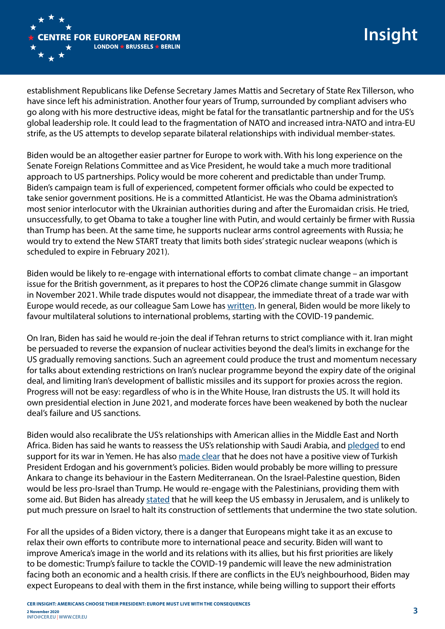

## **Insight**

establishment Republicans like Defense Secretary James Mattis and Secretary of State Rex Tillerson, who have since left his administration. Another four years of Trump, surrounded by compliant advisers who go along with his more destructive ideas, might be fatal for the transatlantic partnership and for the US's global leadership role. It could lead to the fragmentation of NATO and increased intra-NATO and intra-EU strife, as the US attempts to develop separate bilateral relationships with individual member-states.

Biden would be an altogether easier partner for Europe to work with. With his long experience on the Senate Foreign Relations Committee and as Vice President, he would take a much more traditional approach to US partnerships. Policy would be more coherent and predictable than under Trump. Biden's campaign team is full of experienced, competent former officials who could be expected to take senior government positions. He is a committed Atlanticist. He was the Obama administration's most senior interlocutor with the Ukrainian authorities during and after the Euromaidan crisis. He tried, unsuccessfully, to get Obama to take a tougher line with Putin, and would certainly be firmer with Russia than Trump has been. At the same time, he supports nuclear arms control agreements with Russia; he would try to extend the New START treaty that limits both sides' strategic nuclear weapons (which is scheduled to expire in February 2021).

Biden would be likely to re-engage with international efforts to combat climate change – an important issue for the British government, as it prepares to host the COP26 climate change summit in Glasgow in November 2021. While trade disputes would not disappear, the immediate threat of a trade war with Europe would recede, as our colleague Sam Lowe has [written](https://www.cer.eu/insights/what-would-biden-presidency-mean-us-eu-trade-relations). In general, Biden would be more likely to favour multilateral solutions to international problems, starting with the COVID-19 pandemic.

On Iran, Biden has said he would re-join the deal if Tehran returns to strict compliance with it. Iran might be persuaded to reverse the expansion of nuclear activities beyond the deal's limits in exchange for the US gradually removing sanctions. Such an agreement could produce the trust and momentum necessary for talks about extending restrictions on Iran's nuclear programme beyond the expiry date of the original deal, and limiting Iran's development of ballistic missiles and its support for proxies across the region. Progress will not be easy: regardless of who is in the White House, Iran distrusts the US. It will hold its own presidential election in June 2021, and moderate forces have been weakened by both the nuclear deal's failure and US sanctions.

Biden would also recalibrate the US's relationships with American allies in the Middle East and North Africa. Biden has said he wants to reassess the US's relationship with Saudi Arabia, and [pledged](https://joebiden.com/2020/10/02/anniversary-of-jamal-khashoggis-murder-statement-by-vice-president-joe-biden/) to end support for its war in Yemen. He has also [made clear](https://www.reuters.com/article/usa-election-turkey-analysis-int-idUSKBN2761JY) that he does not have a positive view of Turkish President Erdogan and his government's policies. Biden would probably be more willing to pressure Ankara to change its behaviour in the Eastern Mediterranean. On the Israel-Palestine question, Biden would be less pro-Israel than Trump. He would re-engage with the Palestinians, providing them with some aid. But Biden has already [stated](https://www.aljazeera.com/news/2020/4/29/biden-says-hed-leave-us-embassy-in-jerusalem-if-elected) that he will keep the US embassy in Jerusalem, and is unlikely to put much pressure on Israel to halt its construction of settlements that undermine the two state solution.

For all the upsides of a Biden victory, there is a danger that Europeans might take it as an excuse to relax their own efforts to contribute more to international peace and security. Biden will want to improve America's image in the world and its relations with its allies, but his first priorities are likely to be domestic: Trump's failure to tackle the COVID-19 pandemic will leave the new administration facing both an economic and a health crisis. If there are conflicts in the EU's neighbourhood, Biden may expect Europeans to deal with them in the first instance, while being willing to support their efforts